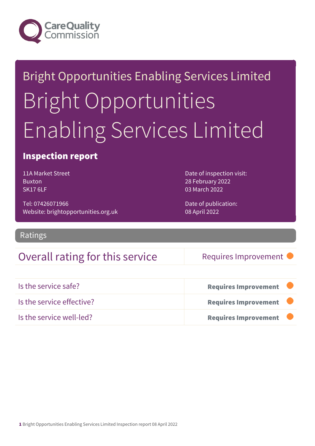

# Bright Opportunities Enabling Services Limited Bright Opportunities Enabling Services Limited

### Inspection report

11A Market Street Buxton SK17 6LF

Tel: 07426071966 Website: brightopportunities.org.uk Date of inspection visit: 28 February 2022 03 March 2022

Date of publication: 08 April 2022

Ratings

### Overall rating for this service Requires Improvement

| Is the service safe?      | <b>Requires Improvement</b> |
|---------------------------|-----------------------------|
| Is the service effective? | <b>Requires Improvement</b> |
| Is the service well-led?  | <b>Requires Improvement</b> |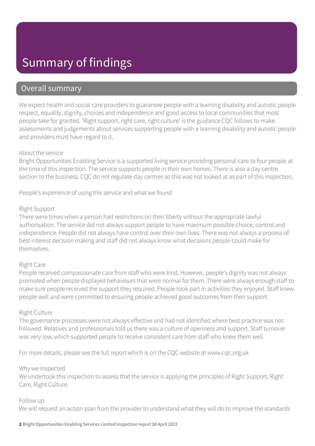## Summary of findings

### Overall summary

We expect health and social care providers to guarantee people with a learning disability and autistic people respect, equality, dignity, choices and independence and good access to local communities that most people take for granted. 'Right support, right care, right culture' is the guidance CQC follows to make assessments and judgements about services supporting people with a learning disability and autistic people and providers must have regard to it.

#### About the service

Bright Opportunities Enabling Service is a supported living service providing personal care to four people at the time of this inspection. The service supports people in their own homes. There is also a day centre section to the business. CQC do not regulate day centres so this was not looked at as part of this inspection.

People's experience of using this service and what we found

#### Right Support

There were times when a person had restrictions on their liberty without the appropriate lawful authorisation. The service did not always support people to have maximum possible choice, control and independence. People did not always have control over their own lives. There was not always a process of best interest decision making and staff did not always know what decisions people could make for themselves.

#### Right Care

People received compassionate care from staff who were kind. However, people's dignity was not always promoted when people displayed behaviours that were normal for them. There were always enough staff to make sure people received the support they required. People took part in activities they enjoyed. Staff knew people well and were committed to ensuring people achieved good outcomes from their support.

#### Right Culture

The governance processes were not always effective and had not identified where best practice was not followed. Relatives and professionals told us there was a culture of openness and support. Staff turnover was very low, which supported people to receive consistent care from staff who knew them well.

For more details, please see the full report which is on the CQC website at www.cqc.org.uk

#### Why we inspected

We undertook this inspection to assess that the service is applying the principles of Right Support, Right Care, Right Culture.

#### Follow up

We will request an action plan from the provider to understand what they will do to improve the standards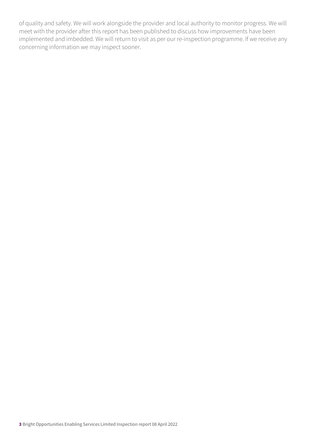of quality and safety. We will work alongside the provider and local authority to monitor progress. We will meet with the provider after this report has been published to discuss how improvements have been implemented and imbedded. We will return to visit as per our re-inspection programme. If we receive any concerning information we may inspect sooner.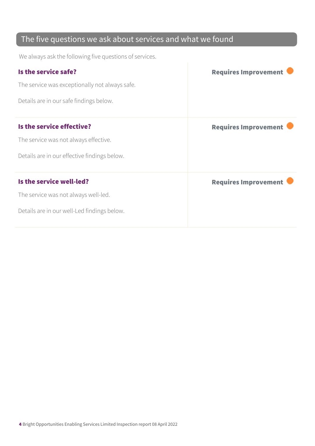### The five questions we ask about services and what we found

We always ask the following five questions of services.

| Is the service safe?                           | <b>Requires Improvement</b> |
|------------------------------------------------|-----------------------------|
| The service was exceptionally not always safe. |                             |
| Details are in our safe findings below.        |                             |
| Is the service effective?                      | <b>Requires Improvement</b> |
| The service was not always effective.          |                             |
| Details are in our effective findings below.   |                             |
| Is the service well-led?                       | <b>Requires Improvement</b> |
| The service was not always well-led.           |                             |
| Details are in our well-Led findings below.    |                             |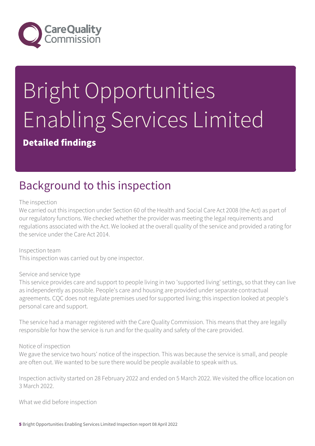

# Bright Opportunities Enabling Services Limited

### Detailed findings

# Background to this inspection

#### The inspection

We carried out this inspection under Section 60 of the Health and Social Care Act 2008 (the Act) as part of our regulatory functions. We checked whether the provider was meeting the legal requirements and regulations associated with the Act. We looked at the overall quality of the service and provided a rating for the service under the Care Act 2014.

Inspection team This inspection was carried out by one inspector.

#### Service and service type

This service provides care and support to people living in two 'supported living' settings, so that they can live as independently as possible. People's care and housing are provided under separate contractual agreements. CQC does not regulate premises used for supported living; this inspection looked at people's personal care and support.

The service had a manager registered with the Care Quality Commission. This means that they are legally responsible for how the service is run and for the quality and safety of the care provided.

#### Notice of inspection

We gave the service two hours' notice of the inspection. This was because the service is small, and people are often out. We wanted to be sure there would be people available to speak with us.

Inspection activity started on 28 February 2022 and ended on 5 March 2022. We visited the office location on 3 March 2022.

What we did before inspection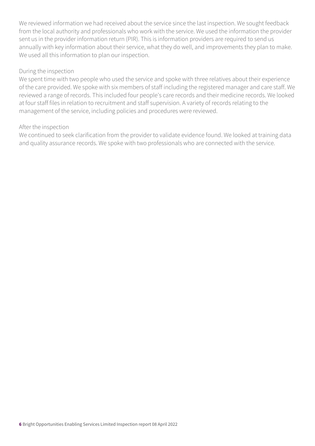We reviewed information we had received about the service since the last inspection. We sought feedback from the local authority and professionals who work with the service. We used the information the provider sent us in the provider information return (PIR). This is information providers are required to send us annually with key information about their service, what they do well, and improvements they plan to make. We used all this information to plan our inspection.

#### During the inspection

We spent time with two people who used the service and spoke with three relatives about their experience of the care provided. We spoke with six members of staff including the registered manager and care staff. We reviewed a range of records. This included four people's care records and their medicine records. We looked at four staff files in relation to recruitment and staff supervision. A variety of records relating to the management of the service, including policies and procedures were reviewed.

#### After the inspection

We continued to seek clarification from the provider to validate evidence found. We looked at training data and quality assurance records. We spoke with two professionals who are connected with the service.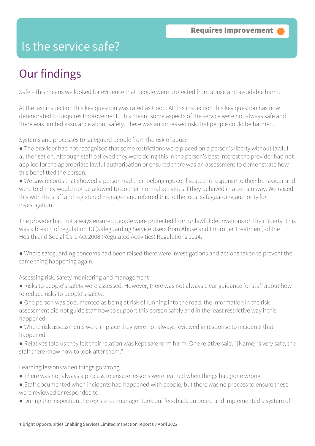### Is the service safe?

# Our findings

Safe – this means we looked for evidence that people were protected from abuse and avoidable harm.

At the last inspection this key question was rated as Good. At this inspection this key question has now deteriorated to Requires Improvement. This meant some aspects of the service were not always safe and there was limited assurance about safety. There was an increased risk that people could be harmed.

Systems and processes to safeguard people from the risk of abuse

- The provider had not recognised that some restrictions were placed on a person's liberty without lawful authorisation. Although staff believed they were doing this in the person's best interest the provider had not applied for the appropriate lawful authorisation or ensured there was an assessment to demonstrate how this benefitted the person.
- We saw records that showed a person had their belongings confiscated in response to their behaviour and were told they would not be allowed to do their normal activities if they behaved in a certain way. We raised this with the staff and registered manager and referred this to the local safeguarding authority for investigation.

The provider had not always ensured people were protected from unlawful deprivations on their liberty. This was a breach of regulation 13 (Safeguarding Service Users from Abuse and Improper Treatment) of the Health and Social Care Act 2008 (Regulated Activities) Regulations 2014.

● Where safeguarding concerns had been raised there were investigations and actions taken to prevent the same thing happening again.

Assessing risk, safety monitoring and management

- Risks to people's safety were assessed. However, there was not always clear guidance for staff about how to reduce risks to people's safety.
- One person was documented as being at risk of running into the road, the information in the risk assessment did not guide staff how to support this person safely and in the least restrictive way if this happened.
- Where risk assessments were in place they were not always reviewed in response to incidents that happened.
- Relatives told us they felt their relation was kept safe form harm. One relative said, "[Name] is very safe, the staff there know how to look after them."

Learning lessons when things go wrong

- There was not always a process to ensure lessons were learned when things had gone wrong.
- Staff documented when incidents had happened with people, but there was no process to ensure these were reviewed or responded to.
- During the inspection the registered manager took our feedback on board and implemented a system of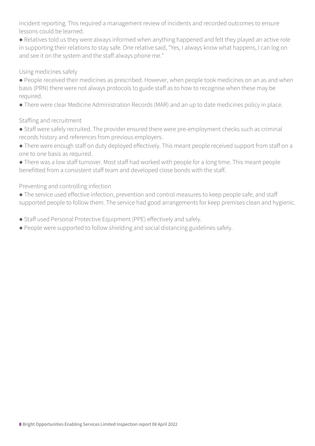incident reporting. This required a management review of incidents and recorded outcomes to ensure lessons could be learned.

● Relatives told us they were always informed when anything happened and felt they played an active role in supporting their relations to stay safe. One relative said, "Yes, I always know what happens, I can log on and see it on the system and the staff always phone me."

#### Using medicines safely

● People received their medicines as prescribed. However, when people took medicines on an as and when basis (PRN) there were not always protocols to guide staff as to how to recognise when these may be required.

● There were clear Medicine Administration Records (MAR) and an up to date medicines policy in place.

#### Staffing and recruitment

● Staff were safely recruited. The provider ensured there were pre-employment checks such as criminal records history and references from previous employers.

● There were enough staff on duty deployed effectively. This meant people received support from staff on a one to one basis as required.

● There was a low staff turnover. Most staff had worked with people for a long time. This meant people benefitted from a consistent staff team and developed close bonds with the staff.

Preventing and controlling infection

● The service used effective infection, prevention and control measures to keep people safe, and staff supported people to follow them. The service had good arrangements for keep premises clean and hygienic.

● Staff used Personal Protective Equipment (PPE) effectively and safely.

● People were supported to follow shielding and social distancing guidelines safely.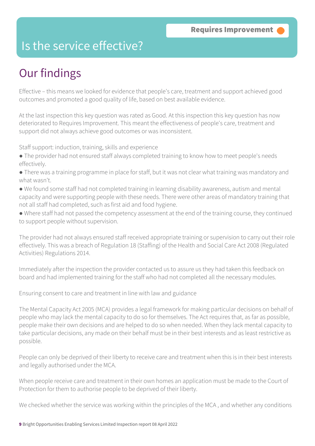### Is the service effective?

# Our findings

Effective – this means we looked for evidence that people's care, treatment and support achieved good outcomes and promoted a good quality of life, based on best available evidence.

At the last inspection this key question was rated as Good. At this inspection this key question has now deteriorated to Requires Improvement. This meant the effectiveness of people's care, treatment and support did not always achieve good outcomes or was inconsistent.

Staff support: induction, training, skills and experience

- The provider had not ensured staff always completed training to know how to meet people's needs effectively.
- There was a training programme in place for staff, but it was not clear what training was mandatory and what wasn't.
- We found some staff had not completed training in learning disability awareness, autism and mental capacity and were supporting people with these needs. There were other areas of mandatory training that not all staff had completed, such as first aid and food hygiene.
- Where staff had not passed the competency assessment at the end of the training course, they continued to support people without supervision.

The provider had not always ensured staff received appropriate training or supervision to carry out their role effectively. This was a breach of Regulation 18 (Staffing) of the Health and Social Care Act 2008 (Regulated Activities) Regulations 2014.

Immediately after the inspection the provider contacted us to assure us they had taken this feedback on board and had implemented training for the staff who had not completed all the necessary modules.

Ensuring consent to care and treatment in line with law and guidance

The Mental Capacity Act 2005 (MCA) provides a legal framework for making particular decisions on behalf of people who may lack the mental capacity to do so for themselves. The Act requires that, as far as possible, people make their own decisions and are helped to do so when needed. When they lack mental capacity to take particular decisions, any made on their behalf must be in their best interests and as least restrictive as possible.

People can only be deprived of their liberty to receive care and treatment when this is in their best interests and legally authorised under the MCA.

When people receive care and treatment in their own homes an application must be made to the Court of Protection for them to authorise people to be deprived of their liberty.

We checked whether the service was working within the principles of the MCA , and whether any conditions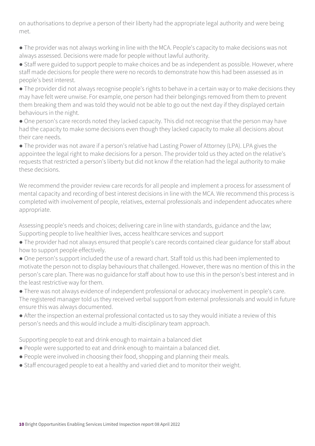on authorisations to deprive a person of their liberty had the appropriate legal authority and were being met.

● The provider was not always working in line with the MCA. People's capacity to make decisions was not always assessed. Decisions were made for people without lawful authority.

● Staff were guided to support people to make choices and be as independent as possible. However, where staff made decisions for people there were no records to demonstrate how this had been assessed as in people's best interest.

● The provider did not always recognise people's rights to behave in a certain way or to make decisions they may have felt were unwise. For example, one person had their belongings removed from them to prevent them breaking them and was told they would not be able to go out the next day if they displayed certain behaviours in the night.

● One person's care records noted they lacked capacity. This did not recognise that the person may have had the capacity to make some decisions even though they lacked capacity to make all decisions about their care needs.

● The provider was not aware if a person's relative had Lasting Power of Attorney (LPA). LPA gives the appointee the legal right to make decisions for a person. The provider told us they acted on the relative's requests that restricted a person's liberty but did not know if the relation had the legal authority to make these decisions.

We recommend the provider review care records for all people and implement a process for assessment of mental capacity and recording of best interest decisions in line with the MCA. We recommend this process is completed with involvement of people, relatives, external professionals and independent advocates where appropriate.

Assessing people's needs and choices; delivering care in line with standards, guidance and the law; Supporting people to live healthier lives, access healthcare services and support

- The provider had not always ensured that people's care records contained clear guidance for staff about how to support people effectively.
- One person's support included the use of a reward chart. Staff told us this had been implemented to motivate the person not to display behaviours that challenged. However, there was no mention of this in the person's care plan. There was no guidance for staff about how to use this in the person's best interest and in the least restrictive way for them.

● There was not always evidence of independent professional or advocacy involvement in people's care. The registered manager told us they received verbal support from external professionals and would in future ensure this was always documented.

● After the inspection an external professional contacted us to say they would initiate a review of this person's needs and this would include a multi-disciplinary team approach.

Supporting people to eat and drink enough to maintain a balanced diet

- People were supported to eat and drink enough to maintain a balanced diet.
- People were involved in choosing their food, shopping and planning their meals.
- Staff encouraged people to eat a healthy and varied diet and to monitor their weight.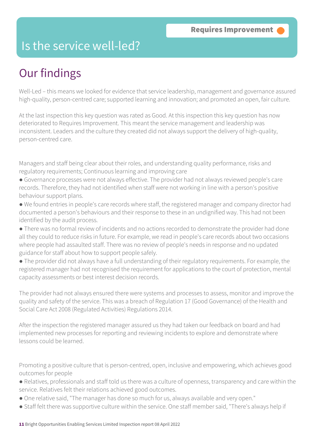### Is the service well-led?

# Our findings

Well-Led – this means we looked for evidence that service leadership, management and governance assured high-quality, person-centred care; supported learning and innovation; and promoted an open, fair culture.

At the last inspection this key question was rated as Good. At this inspection this key question has now deteriorated to Requires Improvement. This meant the service management and leadership was inconsistent. Leaders and the culture they created did not always support the delivery of high-quality, person-centred care.

Managers and staff being clear about their roles, and understanding quality performance, risks and regulatory requirements; Continuous learning and improving care

- Governance processes were not always effective. The provider had not always reviewed people's care records. Therefore, they had not identified when staff were not working in line with a person's positive behaviour support plans.
- We found entries in people's care records where staff, the registered manager and company director had documented a person's behaviours and their response to these in an undignified way. This had not been identified by the audit process.
- There was no formal review of incidents and no actions recorded to demonstrate the provider had done all they could to reduce risks in future. For example, we read in people's care records about two occasions where people had assaulted staff. There was no review of people's needs in response and no updated guidance for staff about how to support people safely.
- The provider did not always have a full understanding of their regulatory requirements. For example, the registered manager had not recognised the requirement for applications to the court of protection, mental capacity assessments or best interest decision records.

The provider had not always ensured there were systems and processes to assess, monitor and improve the quality and safety of the service. This was a breach of Regulation 17 (Good Governance) of the Health and Social Care Act 2008 (Regulated Activities) Regulations 2014.

After the inspection the registered manager assured us they had taken our feedback on board and had implemented new processes for reporting and reviewing incidents to explore and demonstrate where lessons could be learned.

Promoting a positive culture that is person-centred, open, inclusive and empowering, which achieves good outcomes for people

- Relatives, professionals and staff told us there was a culture of openness, transparency and care within the service. Relatives felt their relations achieved good outcomes.
- One relative said, "The manager has done so much for us, always available and very open."
- Staff felt there was supportive culture within the service. One staff member said, "There's always help if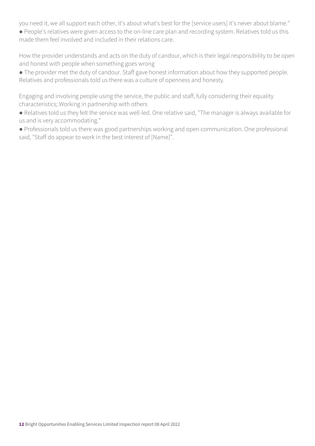you need it, we all support each other, it's about what's best for the [service users] it's never about blame."

● People's relatives were given access to the on-line care plan and recording system. Relatives told us this made them feel involved and included in their relations care.

How the provider understands and acts on the duty of candour, which is their legal responsibility to be open and honest with people when something goes wrong

• The provider met the duty of candour. Staff gave honest information about how they supported people. Relatives and professionals told us there was a culture of openness and honesty.

Engaging and involving people using the service, the public and staff, fully considering their equality characteristics; Working in partnership with others

● Relatives told us they felt the service was well-led. One relative said, "The manager is always available for us and is very accommodating."

● Professionals told us there was good partnerships working and open communication. One professional said, "Staff do appear to work in the best interest of [Name]".